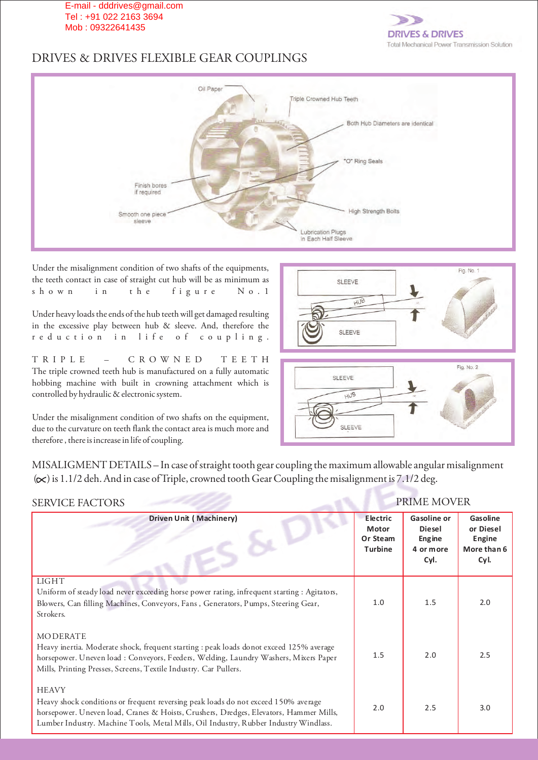

# DRIVES & DRIVES FLEXIBLE GEAR COUPLINGS



Under the misalignment condition of two shafts of the equipments, the teeth contact in case of straight cut hub will be as minimum as shown in the figure No. 1

Under heavy loads the ends of the hub teeth will get damaged resulting in the excessive play between hub & sleeve. And, therefore the r e d u c t i o n i n l i f e o f c o u p l i n g .

TRIPLE – CROWNED TEETH The triple crowned teeth hub is manufactured on a fully automatic hobbing machine with built in crowning attachment which is controlled by hydraulic & electronic system.

Under the misalignment condition of two shafts on the equipment, due to the curvature on teeth flank the contact area is much more and therefore , there is increase in life of coupling.





MISALIGMENT DETAILS – In case of straight tooth gear coupling the maximum allowable angular misalignment  $(\infty)$  is 1.1/2 deh. And in case of Triple, crowned tooth Gear Coupling the misalignment is 7.1/2 deg.

| <b>SERVICE FACTORS</b>                                                                                                                                                                                                                                                              |                                                        | <b>PRIME MOVER</b>                                                        |                                                        |
|-------------------------------------------------------------------------------------------------------------------------------------------------------------------------------------------------------------------------------------------------------------------------------------|--------------------------------------------------------|---------------------------------------------------------------------------|--------------------------------------------------------|
| <b>Driven Unit (Machinery)</b>                                                                                                                                                                                                                                                      | <b>Electric</b><br><b>Motor</b><br>Or Steam<br>Turbine | <b>Gasoline or</b><br><b>Diesel</b><br><b>Engine</b><br>4 or more<br>Cyl. | Gasoline<br>or Diesel<br>Engine<br>More than 6<br>Cyl. |
| <b>LIGHT</b><br>Uniform of steady load never exceeding horse power rating, infrequent starting : Agitators,<br>Blowers, Can filling Machines, Conveyors, Fans, Generators, Pumps, Steering Gear,<br>Strokers.                                                                       | 1.0                                                    | 1.5                                                                       | 2.0                                                    |
| <b>MODERATE</b><br>Heavy inertia. Moderate shock, frequent starting : peak loads donot exceed 125% average<br>horsepower. Uneven load : Conveyors, Feeders, Welding, Laundry Washers, Mixers Paper<br>Mills, Printing Presses, Screens, Textile Industry. Car Pullers.              | 1.5                                                    | 2.0                                                                       | 2.5                                                    |
| <b>HEAVY</b><br>Heavy shock conditions or frequent reversing peak loads do not exceed 150% average<br>horsepower. Uneven load, Cranes & Hoists, Crushers, Dredges, Elevators, Hammer Mills,<br>Lumber Industry. Machine Tools, Metal Mills, Oil Industry, Rubber Industry Windlass. | 2.0                                                    | 2.5                                                                       | 3.0                                                    |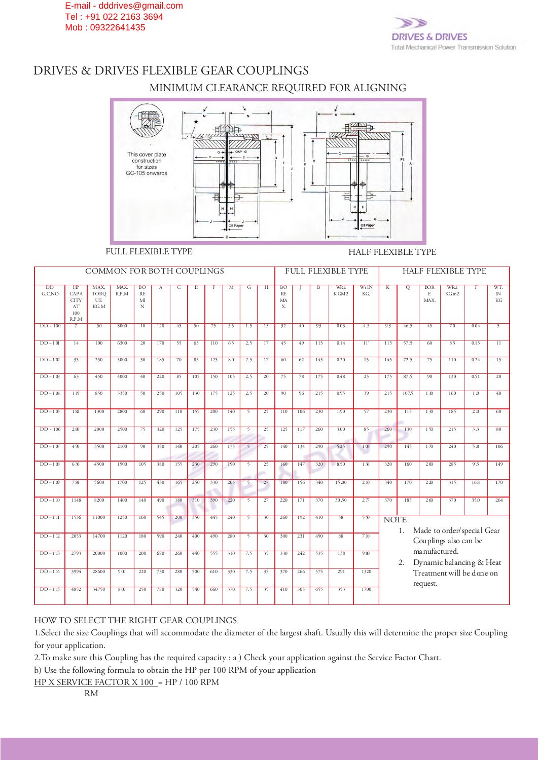

# DRIVES & DRIVES FLEXIBLE GEAR COUPLINGS MINIMUM CLEARANCE REQUIRED FOR ALIGNING



### FULL FLEXIBLE TYPE HALF FLEXIBLE TYPE

|                           |                                                                    | COMMON FOR BOTH COUPLINGS  |                 |                                   |     |     |                |     |     |                |                 |                             |     |                | <b>FULL FLEXIBLE TYPE</b> |                |                         |       |                                   | HALF FLEXIBLE TYPE                                  |                |                 |
|---------------------------|--------------------------------------------------------------------|----------------------------|-----------------|-----------------------------------|-----|-----|----------------|-----|-----|----------------|-----------------|-----------------------------|-----|----------------|---------------------------|----------------|-------------------------|-------|-----------------------------------|-----------------------------------------------------|----------------|-----------------|
| $\overline{DD}$<br>G.C.NO | H <sub>P</sub><br><b>CAPA</b><br><b>CITY</b><br>AT<br>100<br>R.P.M | MAX.<br>TORO<br>UE<br>KG.M | MAX.<br>R.P.M   | <b>BO</b><br><b>RE</b><br>MI<br>N | A   | C   | $\overline{D}$ |     | M   | G              | H               | <b>BO</b><br>RE<br>MA<br>Χ. |     | $\overline{B}$ | WR <sub>2</sub><br>KGM2   | $Wt$ IN<br>KG. | $\overline{\mathbf{K}}$ | Q     | <b>BOR</b><br>$\mathbf E$<br>MAX. | WR <sub>2</sub><br>KGm2                             | $\overline{F}$ | WT.<br>IN<br>KG |
| $DD - 100$                | $\overline{7}$                                                     | 50                         | 8000            | 10                                | 120 | 45  | 50             | 75  | 55  | 1.5            | 15              | 32                          | 40  | 93             | 0.03                      | 4.5            | 93                      | 46.5  | 45                                | 70                                                  | 0.04           | $\overline{5}$  |
| $DD-101$                  | 14                                                                 | 100                        | 6300            | 20                                | 170 | 55  | 65             | 110 | 65  | 2.5            | 17              | 45                          | 49  | 115            | 0.14                      | 11'            | 115                     | 57.5  | 60                                | 85                                                  | 0.15           | 11              |
| $DD-1@$                   | 35                                                                 | 250                        | 5000            | 30                                | 185 | 70  | 85             | 125 | 80  | 2.5            | 17              | 60                          | 62  | 145            | 0.20                      | 15             | 145                     | 72.5  | 75                                | 110                                                 | 0.24           | 15              |
| $DD-108$                  | 63                                                                 | 450                        | 4000            | 40                                | 220 | 85  | 105            | 150 | 105 | 2.5            | 20              | 75                          | 78  | 175            | 0.48                      | 25             | 175                     | 87.5  | 90                                | 130                                                 | 0.51           | $\overline{20}$ |
| $DD-104$                  | 119                                                                | 850                        | 3350            | 50                                | 250 | 105 | 130            | 175 | 125 | 2.5            | 20              | 90                          | 96  | 215            | 0.95                      | 39             | 215                     | 107.5 | 110                               | 160                                                 | 1.0            | 40              |
| $DD-105$                  | 182                                                                | 1300                       | 2800            | 60                                | 290 | 110 | 155            | 200 | 140 | $\overline{5}$ | 25              | 110                         | 106 | 230            | 1.90                      | 57             | 230                     | 115   | 130                               | 185                                                 | 2.0            | 60              |
| $DD - 106$                | 280                                                                | 2000                       | 2500            | $\overline{75}$                   | 320 | 125 | 175            | 230 | 155 | $\overline{5}$ | $\overline{25}$ | 125                         | 117 | 260            | 3.00                      | 85             | 260                     | 130   | 150                               | 215                                                 | 33             | 80              |
| $DD-10$                   | 490                                                                | 3500                       | 2100            | 90                                | 350 | 140 | 205            | 260 | 175 | 5              | 25              | 140                         | 134 | 290            | 5.25                      | 103            | 290                     | 145   | 170                               | 240                                                 | 5.8            | 106             |
| $DD-108$                  | 630                                                                | 4500                       | 1900            | 105                               | 380 | 155 | 230            | 290 | 190 | $\overline{5}$ | 25              | 160                         | 147 | 320            | 8.50                      | 138            | 320                     | 160   | 200                               | 285                                                 | 9.5            | 149             |
| $DD-109$                  | 784                                                                | 5600                       | 1700            | 125                               | 430 | 165 | 250            | 330 | 205 | 5              | 27              | 180                         | 156 | 340            | 15.00                     | 2 10           | 340                     | 170   | 220                               | 315                                                 | 16.8           | 170             |
| $DD-110$                  | 1148                                                               | 8200                       | 1400            | 140                               | 490 | 180 | 310            | 390 | 220 | $\overline{5}$ | 27              | 220                         | 171 | 370            | 30.50                     | 277            | 370                     | 185   | 2 <sub>0</sub>                    | 370                                                 | 35.0           | 264             |
| $DD-111$                  | 1536                                                               | 11000                      | 1250            | 160                               | 545 | 200 | 350            | 445 | 240 | 5              | 30              | 260                         | 192 | 410            | 58                        | 550            | <b>NOTE</b>             |       |                                   |                                                     |                |                 |
| $DD-112$                  | 2053                                                               | 14700                      | 1120            | 180                               | 590 | 240 | 400            | 490 | 280 | $\overline{5}$ | 30              | 300                         | 231 | 490            | 88                        | 710            |                         | 1.    |                                   | Made to order/special Gear<br>Couplings also can be |                |                 |
| $DD-113$                  | 2793                                                               | 20000                      | 1000            | 200                               | 680 | 260 | 440            | 555 | 310 | 7.5            | 35              | 330                         | 242 | 535            | 138                       | 980            |                         | 2.    | ma nufactured.                    | Dynamic balancing & Heat                            |                |                 |
| $DD-114$                  | 3994                                                               | 28600                      | 900             | 220                               | 730 | 280 | 500            | 610 | 330 | 7.5            | 35              | 370                         | 266 | 575            | 291                       | 1320           |                         |       |                                   | Treatment will be done on                           |                |                 |
| $DD-115$                  | 4852                                                               | 34750                      | 8 <sub>00</sub> | 250                               | 780 | 320 | 540            | 660 | 370 | 7.5            | 35              | 410                         | 305 | 655            | 353                       | 1700           |                         |       | request.                          |                                                     |                |                 |

### HOW TO SELECT THE RIGHT GEAR COUPLINGS

1.Select the size Couplings that will accommodate the diameter of the largest shaft. Usually this will determine the proper size Coupling for your application.

2.To make sure this Coupling has the required capacity : a ) Check your application against the Service Factor Chart.

b) Use the following formula to obtain the HP per 100 RPM of your application

HP X SERVICE FACTOR X 100 = HP / 100 RPM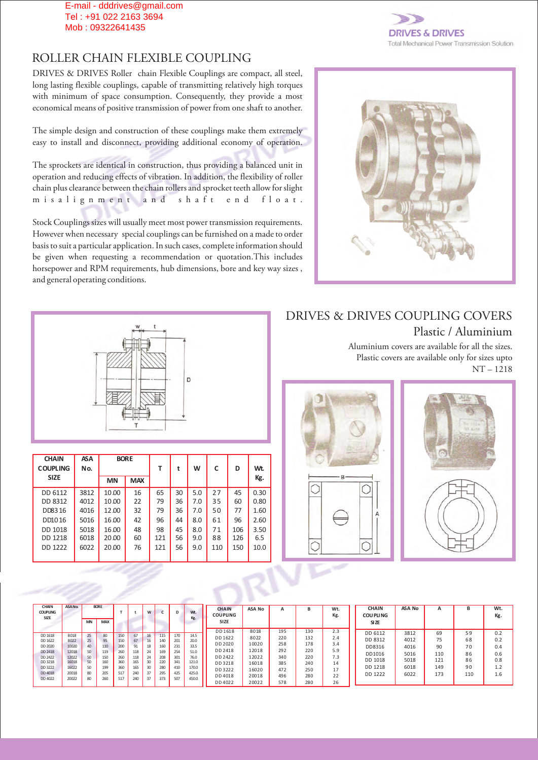## ROLLER CHAIN FLEXIBLE COUPLING

DRIVES & DRIVES Roller chain Flexible Couplings are compact, all steel, long lasting flexible couplings, capable of transmitting relatively high torques with minimum of space consumption. Consequently, they provide a most economical means of positive transmission of power from one shaft to another.

The simple design and construction of these couplings make them extremely easy to install and disconnect, providing additional economy of operation.

The sprockets are identical in construction, thus providing a balanced unit in operation and reducing effects of vibration. In addition, the flexibility of roller chain plus clearance between the chain rollers and sprocket teeth allow for slight m i s a l i g n m e n t a n d s h a f t e n d f l o a t .

Stock Couplings sizes will usually meet most power transmission requirements. However when necessary special couplings can be furnished on a made to order basis to suit a particular application. In such cases, complete information should be given when requesting a recommendation or quotation.This includes horsepower and RPM requirements, hub dimensions, bore and key way sizes , and general operating conditions.



**ES & DRIVES Total Mechanical Power Transmission Solution** 

| <b>CHAIN</b><br><b>COUPLING</b> | <b>ASA</b><br>No. |           | <b>BORE</b> | т   | t  | W   | C   | D   | Wt.  |
|---------------------------------|-------------------|-----------|-------------|-----|----|-----|-----|-----|------|
| <b>SIZE</b>                     |                   | <b>MN</b> | <b>MAX</b>  |     |    |     |     |     | Kg.  |
| DD 6112                         | 3812              | 10.00     | 16          | 65  | 30 | 5.0 | 27  | 45  | 0.30 |
| DD 8312                         | 4012              | 10.00     | 22          | 79  | 36 | 7.0 | 35  | 60  | 0.80 |
| DD8316                          | 4016              | 12.00     | 32          | 79  | 36 | 7.0 | 50  | 77  | 1.60 |
| DD1016                          | 5016              | 16.00     | 42          | 96  | 44 | 8.0 | 61  | 96  | 2.60 |
| <b>DD 1018</b>                  | 5018              | 16.00     | 48          | 98  | 45 | 8.0 | 71  | 106 | 3.50 |
| DD 1218                         | 6018              | 20.00     | 60          | 121 | 56 | 9.0 | 88  | 126 | 6.5  |
| DD 1222                         | 6022              | 20.00     | 76          | 121 | 56 | 9.0 | 110 | 150 | 10.0 |
|                                 |                   |           |             |     |    |     |     |     |      |

DRIVES & DRIVES COUPLING COVERS Plastic / Aluminium

> Aluminium covers are available for all the sizes. Plastic covers are available only for sizes upto NT – 1218





| <b>CHAIN</b><br><b>COUPLING</b><br><b>SIZE</b> | ASANo. | <b>MN</b> | <b>BORE</b><br><b>MAX</b> |     |     | W  |     | D   | Wt.<br>Kg. | <b>CHAIN</b><br><b>COUPLING</b><br>SIZE | <b>ASA No</b> | A   |     | Wt.<br>Kg. | <b>CHAIN</b><br><b>COU PLING</b><br><b>SIZE</b> | ASA No | $\mathbf{A}$ | в   | Wt.<br>Kg. |
|------------------------------------------------|--------|-----------|---------------------------|-----|-----|----|-----|-----|------------|-----------------------------------------|---------------|-----|-----|------------|-------------------------------------------------|--------|--------------|-----|------------|
|                                                |        |           |                           |     |     |    |     |     |            | DD 1618                                 | 8018          | 195 | 130 | 2.3        | DD 6112                                         | 3812   | 69           | 59  | 0.2        |
| DD 1618                                        | 8018   | 25        | 80                        | 150 | 67  | 16 | 115 | 170 | 14.5       | DD 1622                                 | 8022          | 220 | 132 | 2.4        |                                                 |        |              |     |            |
| DD 1622                                        | 8022   | 25        | 95                        | 150 | 67  | 16 | 140 | 201 | 20.0       |                                         |               |     |     |            | DD 8312                                         | 4012   | 75           | 68  | 0.2        |
| DD 2020                                        | 10020  | 40        | 110                       | 200 | 91  | 18 | 160 | 231 | 33.5       | DD 2020                                 | 10020         | 258 | 178 | 3.4        | DD8316                                          | 4016   | 90           | 70  | 0.4        |
| DD 2418                                        | 12018  | 50        | 119                       | 260 | 118 | 24 | 169 | 254 | 51.0       | DD 2418                                 | 12018         | 292 | 220 | 5.9        |                                                 |        |              |     |            |
| DD 2422                                        | 12022  | 50        | 150                       | 260 | 118 | 24 | 208 | 301 | 76.0       | DD 2422                                 | 12022         | 340 | 220 | 7.3        | DD1016                                          | 5016   | 110          | 86  | 0.6        |
| DD 3218                                        | 16018  | 50        | 160                       | 360 | 165 | 30 | 220 | 341 | 121.0      | DD 3218                                 | 16018         | 385 | 240 | 14         | DD 1018                                         | 5018   | 121          | 86  | 0.8        |
| DD 3222                                        | 16022  | 50        | 199                       | 360 | 165 | 30 | 280 | 410 | 170.0      |                                         |               |     |     | 17         | DD 1218                                         | 6018   | 149          | 90  | 1.2        |
| DD 4018                                        | 20018  | 80        | 205                       | 517 | 240 | 37 | 295 | 425 | 425.0      | DD 3222                                 | 16020         | 472 | 250 |            |                                                 |        |              |     |            |
| DD 4022                                        | 20022  |           | 260                       |     |     |    | 373 | 507 |            | DD 4018                                 | 20018         | 496 | 280 | າາ<br>ے    | DD 1222                                         | 6022   | 173          | 110 | 1.6        |
|                                                |        | 80        |                           | 517 | 240 | 37 |     |     | 450.0      | DD 4022                                 | 20022         | 578 | 280 | 26         |                                                 |        |              |     |            |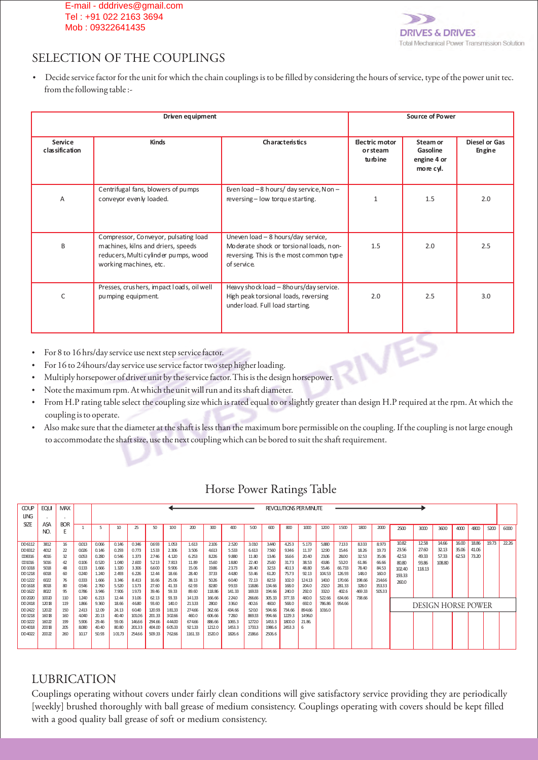

# SELECTION OF THE COUPLINGS

?Decide service factor for the unit for which the chain couplings is to be filled by considering the hours of service, type of the power unit tec. from the following table :-

|                           | Driven equipment                                                                                                                                                                                                                                                                                                                                                                                                                                                                                                                            |                                                                                                                                         |                                              | Source of Power                                  |                                |
|---------------------------|---------------------------------------------------------------------------------------------------------------------------------------------------------------------------------------------------------------------------------------------------------------------------------------------------------------------------------------------------------------------------------------------------------------------------------------------------------------------------------------------------------------------------------------------|-----------------------------------------------------------------------------------------------------------------------------------------|----------------------------------------------|--------------------------------------------------|--------------------------------|
| Service<br>classification | <b>Kinds</b>                                                                                                                                                                                                                                                                                                                                                                                                                                                                                                                                | Characteristics                                                                                                                         | <b>Electric motor</b><br>or steam<br>turbine | Steam or<br>Gasoline<br>engine 4 or<br>more cyl. | <b>Diesel or Gas</b><br>Engine |
| Α                         | Centrifugal fans, blowers of pumps<br>conveyor evenly loaded.                                                                                                                                                                                                                                                                                                                                                                                                                                                                               | Even load -8 hours/ day service, Non -<br>reversing - low torque starting.                                                              | 1                                            | 1.5                                              | 2.0                            |
| B                         | Compressor, Conveyor, pulsating load<br>machines, kilns and driers, speeds<br>reducers, Multi cylinder pumps, wood<br>working machines, etc.                                                                                                                                                                                                                                                                                                                                                                                                | Uneven load - 8 hours/day service,<br>Moderate shock or torsional loads, non-<br>reversing. This is the most common type<br>of service. | 1.5                                          | 2.0                                              | 2.5                            |
| C                         | Presses, crus hers, impact loads, oil well<br>pumping equipment.                                                                                                                                                                                                                                                                                                                                                                                                                                                                            | Heavy shock load - 8hours/day service.<br>High peak torsional loads, reversing<br>under load. Full load starting.                       | 2.0                                          | 2.5                                              | 3.0                            |
| $\bullet$                 | • For 8 to 16 hrs/day service use next step service factor.<br>• For 16 to 24 hours/day service use service factor two step higher loading.<br>Multiply horsepower of driver unit by the service factor. This is the design horsepower.<br>$\mathbf{M}$ and $\mathbf{M}$ are $\mathbf{M}$ and $\mathbf{M}$ are $\mathbf{M}$ and $\mathbf{M}$ are $\mathbf{M}$ and $\mathbf{M}$ are $\mathbf{M}$ and $\mathbf{M}$ are $\mathbf{M}$ and $\mathbf{M}$ are $\mathbf{M}$ are $\mathbf{M}$ and $\mathbf{M}$ are $\mathbf{M}$ are $\mathbf{M}$ are |                                                                                                                                         |                                              |                                                  |                                |

- 
- For 8 to 16 hrs/day service use next step service factor.<br>For 16 to 24 hours/day service use service factor two step higher loading.
- Multiply horsepower of driver unit by the service factor. This is the design horsepower.
- Note the maximum rpm. At which the unit will run and its shaft diameter.
- Note the maximum rpm. At which the unit will run and its shaft diameter.<br>• From H.P rating table select the coupling size which is rated equal to or slightly greater than design H.P required at the rpm. At which
- ?coupling is to operate. Also make sure that the diameter at the shaft is less than the maximum bore permissible on the coupling. If the coupling is not large enough to accommodate the shaft size, use the next coupling which can be bored to suit the shaft requirement.

| Horse Power Ratings Table |  |
|---------------------------|--|
|                           |  |

| <b>COUP</b>       | <b>EQUI</b>    | <b>MAX</b> |                |                |                  |                 |                  |                 |                 |                  |                 |                |                  |                  | <b>REVOLUTIONS PER MINUTE</b> |        |        |        |        |        |                    |        |       |       |       |       |
|-------------------|----------------|------------|----------------|----------------|------------------|-----------------|------------------|-----------------|-----------------|------------------|-----------------|----------------|------------------|------------------|-------------------------------|--------|--------|--------|--------|--------|--------------------|--------|-------|-------|-------|-------|
| <b>LING</b>       |                |            |                |                |                  |                 |                  |                 |                 |                  |                 |                |                  |                  |                               |        |        |        |        |        |                    |        |       |       |       |       |
| <b>SIZE</b>       | ASA            | <b>BOR</b> |                | 5              | 10 <sup>10</sup> | 25              | 50               | 100             | 200             | 300              | 400             | 500            | 600              | 800              | 1000                          | 1200   | 1500   | 1800   | 2000   | 2500   | 3000               | 3600   | 4000  | 4800  | 5200  | 6000  |
|                   | NO.            | F.         |                |                |                  |                 |                  |                 |                 |                  |                 |                |                  |                  |                               |        |        |        |        |        |                    |        |       |       |       |       |
| DD 6112           | 3812           | 16         | 0.013          | 0.066          | 0.146            | 0.346           | 0693             | 1.053           | 1.613           | 2.106            | 2.520           | 3.010          | 3.440            | 4253             | 5.173                         | 5.880  | 7.133  | 8333   | 8.973  | 10.82  | 12.58              | 14.66  | 16.00 | 18.86 | 19.73 | 22.26 |
| DD 8312           | 4012           | 22         | 0.026          | 0.146          | 0.293            | 0.773           | 1533             | 2.306           | 3.506           | 4613             | 5.533           | 6.613          | 7.560            | 9346             | 11.37                         | 12.90  | 15.46  | 18.26  | 19.73  | 23.56  | 27.60              | 32.13  | 35.06 | 41.06 |       |       |
| DD8316            | 4016           | 32         | 0.053          | 0.280          | 0.546            | 1.373           | 2.746            | 4.120           | 6.253           | 8226             | 9.880           | 11.80          | 13.46            | 16.66            | 20.40                         | 23.06  | 2800   | 32.53  | 35.06  | 42.53  | 49.33              | 57.33  | 62.53 | 73.20 |       |       |
| DD1016            | 5016           | 42         | 0.106          | 0.520          | 1.040            | 2.600           | 5213             | 7.813           | 11.89           | 15.60            | 18.80           | 22.40          | 25.60            | 31.73            | 38.53                         | 43.86  | 5320   | 61.86  | 66.66  | 80.80  | 93.86              | 108.80 |       |       |       |       |
| DD 1018           | 5018           | 48         | 0.133          | 1.666          | 1.320            | 3.306           | 6600             | 9.906           | 15.06           | 19.86            | 23.73           | 28.40          | 32.53            | 40.13            | 48.80                         | 55.46  | 66,733 | 78.40  | 84.53  | 102.40 | 118.13             |        |       |       |       |       |
| DD 1218           | 6018           | 60         | 0.240          | 1.240          | 2.493            | 6.226           | 12.44            | 18.66           | 28.40           | 37.33            | 44.80           | 53.46          | 61.20            | 75.73            | 92.13                         | 104.53 | 126.93 | 148.0  | 160.0  | 193.33 |                    |        |       |       |       |       |
| DD 1222           | 6022           | 76         | 0.333          | 1.666          | 3.346            | 8.413           | 16.66            | 25.06           | 38.13           | 50.26            | 60.40           | 72.13          | 82.53            | 102.0            | 124.13                        | 140.0  | 170.66 | 198.66 | 214,66 | 260.0  |                    |        |       |       |       |       |
| DD 1618           | 8018           | 80         | 0.546          | 2.760          | 5.520            | 13.73           | 27.60            | 41.33           | 62.93           | 82.80            | 99.33           | 118.86         | 134.66           | 168.0            | 204.0                         | 232.0  | 281.33 | 328.0  | 353.33 |        |                    |        |       |       |       |       |
| DD 1622           | 8022           | 95         | 0.786          | 3.946          | 7.906            | 19.73           | 39.46            | 59.33           | 89.60           | 118.86           | 141.33          | 169.33         | 194.66           | 240.0            | 292.0                         | 332.0  | 402.6  | 469.33 | 505.33 |        |                    |        |       |       |       |       |
| DD 2020           | 10020          | 110        | 1,240          | 6.213          | 12.44            | 31.06           | 62.13            | 93.33           | 141.33          | 166.66           | 224.0           | 266.66         | 305.33           | 377.33           | 460.0                         | 522.66 | 634.66 | 738.66 |        |        |                    |        |       |       |       |       |
| DD 2418           | 12018          | 119        | 1.866          | 9.360          | 18.66            | 46.80           | 93.60            | 140.0           | 21333           | 280.0            | 336.0           | 402.6          | 460.0            | 568.0            | 692.0                         | 786.86 | 954.66 |        |        |        | DESIGN HORSE POWER |        |       |       |       |       |
| DD 2422<br>DD3218 | 12022<br>16018 | 150<br>160 | 2.413<br>4,040 | 12.09<br>20.13 | 24.13<br>40.40   | 60.40<br>101.06 | 120.93<br>201.33 | 18133<br>302.66 | 274,66<br>460.0 | 362.66<br>606.66 | 434.66<br>728.0 | 5200<br>869.33 | 594.66<br>994.66 | 734.66<br>1229.3 | 894.66<br>1496.0              | 1016.0 |        |        |        |        |                    |        |       |       |       |       |
| DD 3222           | 16022          | 199        | 5.906          | 29.46          | 59.06            | 146.66          | 294.66           | 444.00          | 674,66          | 886.66           | 1065.3          | 1272.0         | 1453.3           | 1800.0           | 21.86.                        |        |        |        |        |        |                    |        |       |       |       |       |
| DD4018            | 20018          | 205        | 8,080          | 40.40          | 80.80            | 201.33          | 404.00           | 605.33          | 921.33          | 1212.0           | 1453.3          | 1733.3         | 1986.6           | 2453.3           | 6                             |        |        |        |        |        |                    |        |       |       |       |       |
| DD4022            | 20022          | 260        | 10.17          | 50.93          | 10173            | 254.66          | 509.33           | 762.66          | 1161.33         | 1520.0           | 1826.6          | 2186.6         | 2506.6           |                  |                               |        |        |        |        |        |                    |        |       |       |       |       |
|                   |                |            |                |                |                  |                 |                  |                 |                 |                  |                 |                |                  |                  |                               |        |        |        |        |        |                    |        |       |       |       |       |
|                   |                |            |                |                |                  |                 |                  |                 |                 |                  |                 |                |                  |                  |                               |        |        |        |        |        |                    |        |       |       |       |       |

# LUBRICATION

Couplings operating without covers under fairly clean conditions will give satisfactory service providing they are periodically [weekly] brushed thoroughly with ball grease of medium consistency. Couplings operating with covers should be kept filled with a good quality ball grease of soft or medium consistency.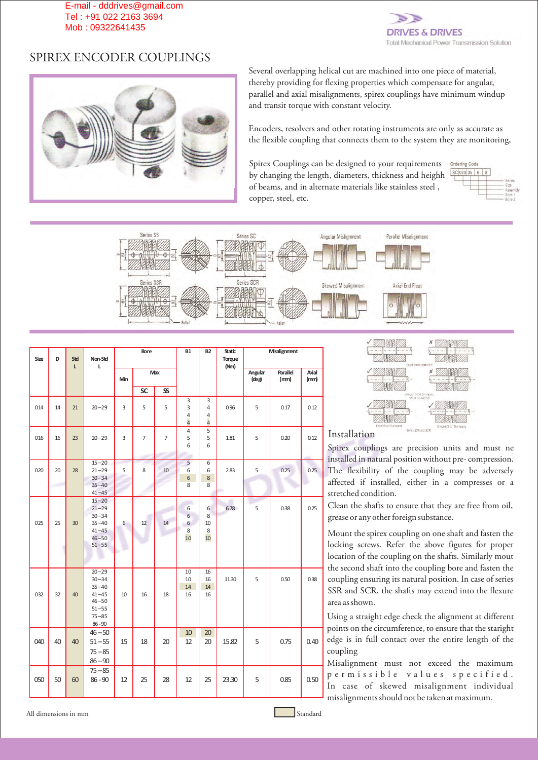

# SPIREX ENCODER COUPLINGS



Several overlapping helical cut are machined into one piece of material, thereby providing for flexing properties which compensate for angular, parallel and axial misalignments, spirex couplings have minimum windup and transit torque with constant velocity.

Encoders, resolvers and other rotating instruments are only as accurate as the flexible coupling that connects them to the system they are monitoring,

Spirex Couplings can be designed to your requirements by changing the length, diameters, thickness and heighh of beams, and in alternate materials like stainless steel , copper, steel, etc.





| Size | D  | Std          | Non-Std                                                                                              |     | Bore           |                | <b>B1</b>                | <b>B2</b>                     | <b>Static</b><br>Torque |                     | <b>Misalignment</b> |               |
|------|----|--------------|------------------------------------------------------------------------------------------------------|-----|----------------|----------------|--------------------------|-------------------------------|-------------------------|---------------------|---------------------|---------------|
|      |    | $\mathbf{L}$ | L                                                                                                    | Min |                | Max            |                          |                               | (Nm)                    | Angular<br>$(\deg)$ | Parallel<br>(rmn)   | Axial<br>(mm) |
|      |    |              |                                                                                                      |     | <b>SC</b>      | $\mathbf{s}$   |                          |                               |                         |                     |                     |               |
| 014  | 14 | 21           | $20 - 29$                                                                                            | 3   | 5              | 5              | 3<br>3<br>4<br>4         | 3<br>4<br>4<br>$\overline{a}$ | 0.96                    | 5                   | 0.17                | 0.12          |
| 016  | 16 | 23           | $20 - 29$                                                                                            | 3   | $\overline{7}$ | $\overline{7}$ | $\overline{4}$<br>5<br>6 | 5<br>5<br>6                   | 1.81                    | 5                   | 0.20                | 0.12          |
| 020  | 20 | 28           | $15 - 20$<br>$21 - 29$<br>$30 - 34$<br>$35 - 40$<br>$41 - 45$                                        | 5   | 8              | 10             | 5<br>6<br>6<br>8         | 6<br>6<br>8<br>8              | 2.83                    | 5                   | 0.25                | 0.25          |
| 025  | 25 | 30           | $15 - 20$<br>$21 - 29$<br>$30 - 34$<br>$35 - 40$<br>$41 - 45$<br>$46 - 50$<br>$51 - 55$              | 6   | 12             | 14             | 6<br>6<br>6<br>8<br>10   | 6<br>8<br>10<br>8<br>10       | 6.78                    | 5                   | 0.38                | 0.25          |
| 032  | 32 | 40           | $20 - 29$<br>$30 - 34$<br>$35 - 40$<br>$41 - 45$<br>$46 - 50$<br>$51 - 55$<br>$75 - 85$<br>$86 - 90$ | 10  | 16             | 18             | 10<br>10<br>14<br>16     | 16<br>16<br>14<br>16          | 11.30                   | 5                   | 0.50                | 0.38          |
| 040  | 40 | 40           | $46 - 50$<br>$51 - 55$<br>$75 - 85$<br>$86 - 90$                                                     | 15  | 18             | 20             | 10<br>12                 | 20<br>20                      | 15.82                   | 5                   | 0.75                | 0.40          |
| 050  | 50 | 60           | $75 - 85$<br>$86 - 90$                                                                               | 12  | 25             | 28             | 12                       | 25                            | 23.30                   | 5                   | 0.85                | 0.50          |



### Installation

Spirex couplings are precision units and must ne installed in natural position without pre- compression. The flexibility of the coupling may be adversely affected if installed, either in a compresses or a stretched condition.

Clean the shafts to ensure that they are free from oil, grease or any other foreign substance.

Mount the spirex coupling on one shaft and fasten the locking screws. Refer the above figures for proper location of the coupling on the shafts. Similarly mout the second shaft into the coupling bore and fasten the coupling ensuring its natural position. In case of series SSR and SCR, the shafts may extend into the flexure area as shown.

Using a straight edge check the alignment at different points on the circumference, to ensure that the staright edge is in full contact over the entire length of the coupling

Misalignment must not exceed the maximum p e r m i s s i b l e v a l u e s s p e c i f i e d . In case of skewed misalignment individual misalignments should not be taken at maximum.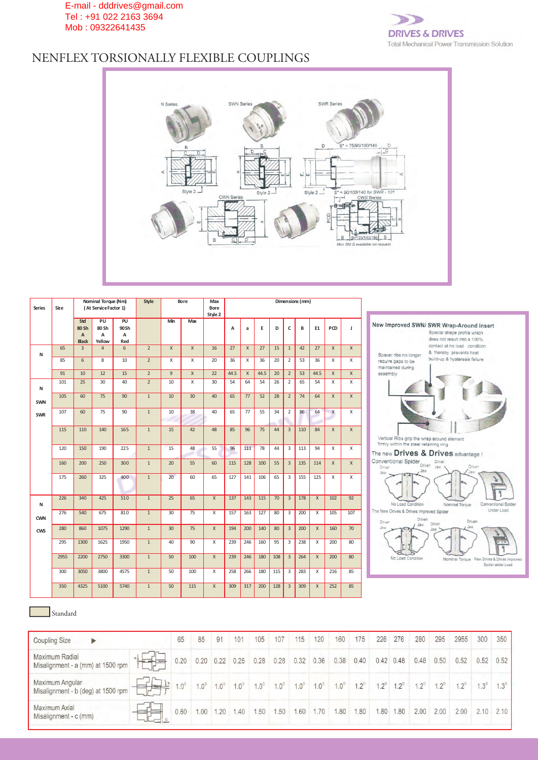

# NENFLEX TORSIONALLY FLEXIBLE COUPLINGS



| <b>Series</b> | Size |                                                | Nominal Torque (Nm)<br>(At Service Factor 1) |                        | Style          |                | Bore            | Max<br>Bore<br>Style 2 |      |              |      |     |                | Dimensions (mm) |              |              |              |                                                                                                        |
|---------------|------|------------------------------------------------|----------------------------------------------|------------------------|----------------|----------------|-----------------|------------------------|------|--------------|------|-----|----------------|-----------------|--------------|--------------|--------------|--------------------------------------------------------------------------------------------------------|
|               |      | Std<br>80 Sh<br>$\overline{A}$<br><b>Black</b> | PU<br>80 Sh<br>$\overline{A}$<br>Yellow      | PU<br>90Sh<br>A<br>Red |                | Min            | Max             |                        | A    | a            | E    | D   | c              | В               | E1           | PCD          | $\mathbf{I}$ | New Improved SWN/ SWR Wrap-Around Insert<br>Special shape profile which<br>does not result into a 100% |
| N             | 65   | $\overline{3}$                                 | $\overline{4}$                               | 6                      | $\overline{2}$ | $\mathsf{X}$   | $\mathsf{X}$    | 16                     | 27   | $\mathsf{X}$ | 27   | 15  | $\mathbf{1}$   | 42              | 27           | $\mathsf{X}$ | $\mathsf{X}$ | contact at no load condition<br>& thereby prevents heat<br>Spacer ribs no longer                       |
|               | 85   | 6                                              | 8                                            | 10                     | $\overline{2}$ | X              | X               | 20                     | 36   | Х            | 36   | 20  | $\overline{2}$ | 53              | 36           | X            | Χ            | build-up & hysteresis failure<br>require gaps to be<br>maintained during                               |
|               | 91   | 10                                             | 12                                           | 15                     | $\overline{2}$ | $\overline{9}$ | $\mathsf{X}$    | 22                     | 44.5 | $\mathsf{x}$ | 44.5 | 20  | $\overline{2}$ | 53              | 44.5         | $\mathsf{X}$ | $\mathsf{X}$ | assembly                                                                                               |
| N             | 101  | 25                                             | 30                                           | 40                     | $\overline{2}$ | 10             | Χ               | 30                     | 54   | 64           | 54   | 26  | 2              | 65              | 54           | Χ            | Χ            |                                                                                                        |
| <b>SWN</b>    | 105  | 60                                             | 75                                           | 90                     | $\overline{1}$ | 10             | 30 <sup>2</sup> | 40                     | 65   | 77           | 52   | 28  | $\overline{2}$ | 74              | 64           | X            | $\mathsf X$  |                                                                                                        |
| <b>SWR</b>    | 107  | 60                                             | 75                                           | 90                     | $\mathbf{1}$   | 10             | 38              | 40                     | 65   | 77           | 55   | 34  | $\overline{2}$ | 86              | 64           | X            | X            |                                                                                                        |
|               | 115  | 110                                            | 140                                          | 165                    | $\mathbf{1}$   | 15             | 42              | 48                     | 85   | 96           | 75   | 44  | $\overline{3}$ | 110             | 84           | $\mathsf{X}$ | $\mathsf X$  | Vertical Ribs grip the wrap around element<br>firmly within the steel retaining ring                   |
|               | 120  | 150                                            | 190                                          | 225                    | $\mathbf{1}$   | 15             | 48              | 55                     | 96   | 111          | 78   | 44  | 3              | 113             | 94           | $\times$     | X            | The new Drives & Drives advantage !                                                                    |
|               | 160  | 200                                            | 250                                          | 300                    | $\mathbf{1}$   | 20             | 55              | 60                     | 115  | 128          | 100  | 55  | $\overline{3}$ | 135             | 114          | X            | $\mathsf{X}$ | Conventional Spider Driven<br>Driver<br>Driven<br>Jaw <sup>1</sup><br>Driver<br>Jaw                    |
|               | 175  | 260                                            | 325                                          | 400                    | $\mathbf{1}$   | 20             | 60              | 65                     | 127  | 141          | 106  | 65  | 3              | 155             | 125          | X            | X            | Jaw                                                                                                    |
| N             | 226  | 340                                            | 425                                          | 510                    | 1              | 25             | 65              | $\mathsf X$            | 137  | 143          | 115  | 70  | $\overline{3}$ | 178             | $\chi$       | 102          | 92           | No Load Condition<br><b>Conventional Spider</b><br>Nominal Torque<br>Under Load                        |
| <b>CWN</b>    | 276  | 540                                            | 675                                          | 810                    | $\mathbf{1}$   | 30             | 75              | $\times$               | 157  | 163          | 127  | 80  | 3              | 200             | $\chi$       | 105          | 107          | The New Drives & Drives Improved Spider<br>Driven<br>Driven<br>Driver<br>Driver<br>Jaw                 |
| CWS           | 280  | 860                                            | 1075                                         | 1290                   | $\mathbf{1}$   | 30             | 75              | $\mathsf{X}$           | 194  | 200          | 140  | 80  | $\overline{3}$ | 200             | $\mathsf{x}$ | 160          | 70           | Jaw<br>Jaw                                                                                             |
|               | 295  | 1300                                           | 1625                                         | 1950                   | 1              | 40             | 90              | $\times$               | 239  | 246          | 160  | 95  | 3              | 238             | $\times$     | 200          | 80           |                                                                                                        |
|               | 2955 | 2200                                           | 2750                                         | 3300                   | $\mathbf{1}$   | 50             | 100             | $\mathsf{X}$           | 239  | 246          | 180  | 108 | $\overline{3}$ | 264             | $\mathsf{X}$ | 200          | 80           | No Load Condition<br>Nominal Torque New Drives & Drives Impro<br>Spider under Load                     |
|               | 300  | 3050                                           | 3800                                         | 4575                   | $\mathbf{1}$   | 50             | 100             | $\times$               | 258  | 266          | 180  | 115 | 3              | 283             | $\times$     | 216          | 85           |                                                                                                        |
|               | 350  | 4325                                           | 5100                                         | 5740                   | $\mathbf{1}$   | 50             | 115             | $\mathsf{X}$           | 309  | 317          | 200  | 128 | $\overline{3}$ | 309             | $\chi$       | 252          | 85           |                                                                                                        |

### Standard

| <b>Coupling Size</b><br>▶                             |                     | 65          | 85          | 91          | 101         | 105         | 107         | 115         | 120         | 160         | 175         | 226         | 276         | 280         | 295          | 2955         | 300        | 350         |
|-------------------------------------------------------|---------------------|-------------|-------------|-------------|-------------|-------------|-------------|-------------|-------------|-------------|-------------|-------------|-------------|-------------|--------------|--------------|------------|-------------|
| Maximum Radial<br>Misalignment - a (mm) at 1500 rpm   | $\equiv$            | 0.20        | 0.20        | 0.22        | 0.25        | 0.28        | 0.28        | 0.32        | 0.36        | 0.38        | 0.40        | 0.42        | 0.48        | 0.48        | 0.50         | 0.52         | 0.52       | 0.52        |
| Maximum Angular<br>Misalignment - b (deg) at 1500 rpm | <b>SOFTEN HELET</b> | $1.0^\circ$ | $1.0^\circ$ | $1.0^\circ$ | $1.0^\circ$ | $1.0^\circ$ | $1.0^\circ$ | $1.0^\circ$ | $1.0^\circ$ | $1.0^\circ$ | $1.2^\circ$ | $1.2^\circ$ | $1.2^\circ$ | $1.2^\circ$ | $12^{\circ}$ | $12^{\circ}$ | $.3^\circ$ | $1.3^\circ$ |
| Maximum Axial<br>Misalignment - c (mm)                |                     | 0.60        | 1.00        | 1.20        | .40         | .50         | .50         | .60         | 1.70        | .80         | .80         | .80         | .80         | 2.00        | 2.00         | 2.00         | 2.10       | 2.10        |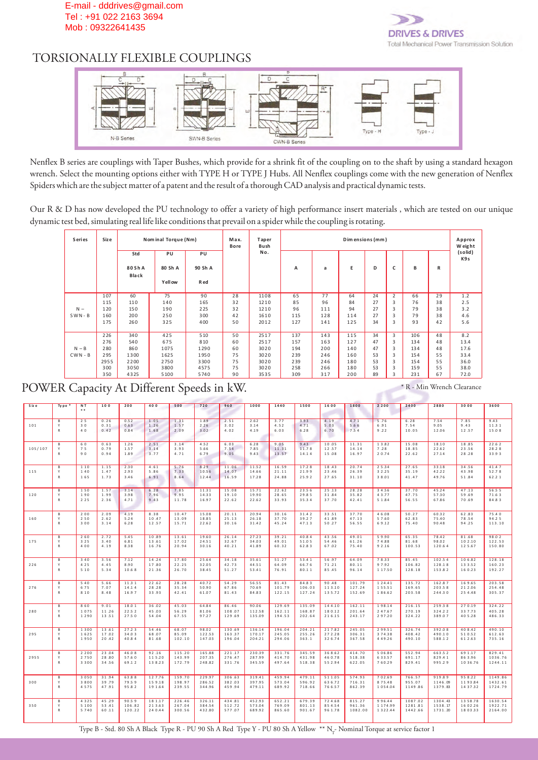

# TORSIONALLY FLEXIBLE COUPLINGS



Nenflex B series are couplings with Taper Bushes, which provide for a shrink fit of the coupling on to the shaft by using a standard hexagon wrench. Select the mounting options either with TYPE H or TYPE J Hubs. All Nenflex couplings come with the new generation of Nenflex Spiders which are the subject matter of a patent and the result of a thorough CAD analysis and practical dynamic tests.

Our R & D has now developed the PU technology to offer a variety of high performance insert materials , which are tested on our unique dynamic test bed, simulating real life like conditions that prevail on a spider while the coupling is rotating.

| <b>Series</b> | Siz e |                         | Nominal Torque (Nm)            |                       | Max.<br><b>Bore</b> | Taper<br>Bush |     |     | Dimensions (mm) |    |   |     |    | Approx<br>Weight |
|---------------|-------|-------------------------|--------------------------------|-----------------------|---------------------|---------------|-----|-----|-----------------|----|---|-----|----|------------------|
|               |       | Std<br>80 Sh A<br>Black | PU<br>80 Sh A<br><b>Yellow</b> | PU<br>90 Sh A<br>R ed |                     | No.           | A   | a   | Е               | D  | c | в   | R  | (solid)<br>K9s   |
|               | 107   | 60                      | 75                             | 90                    | 28                  | 1108          | 65  | 77  | 64              | 24 | 2 | 66  | 29 | 1.2              |
|               | 115   | 110                     | 140                            | 165                   | 32                  | 1210          | 85  | 96  | 84              | 27 | 3 | 76  | 38 | 2.5              |
| $N -$         | 120   | 150                     | 190                            | 225                   | 32                  | 1210          | 96  | 111 | 94              | 27 | 3 | 79  | 38 | 3.2              |
| $SWN - B$     | 160   | 200                     | 250                            | 300                   | 42                  | 1610          | 115 | 128 | 114             | 27 | 3 | 79  | 38 | 4.6              |
|               | 175   | 260                     | 325                            | 400                   | 50                  | 2012          | 127 | 141 | 125             | 34 | 3 | 93  | 42 | 5.6              |
|               | 226   | 340                     | 425                            | 510                   | 50                  | 2517          | 137 | 143 | 115             | 34 | 3 | 106 | 48 | 8.2              |
|               | 276   | 540                     | 675                            | 810                   | 60                  | 2517          | 157 | 163 | 127             | 47 | 3 | 134 | 48 | 13.4             |
| $N - B$       | 280   | 860                     | 1075                           | 1290                  | 60                  | 3020          | 194 | 200 | 140             | 47 | 3 | 134 | 48 | 17.6             |
| $CWN - B$     | 295   | 1300                    | 1625                           | 1950                  | 75                  | 3020          | 239 | 246 | 160             | 53 | 3 | 154 | 55 | 33.4             |
|               | 2955  | 2200                    | 2750                           | 3300                  | 75                  | 3020          | 239 | 246 | 180             | 53 | 3 | 154 | 55 | 36.0             |
|               | 300   | 3050                    | 3800                           | 4575                  | 75                  | 3020          | 258 | 266 | 180             | 53 | 3 | 159 | 55 | 38.0             |
|               | 350   | 4325                    | 5100                           | 5740                  | 90                  | 3535          | 309 | 317 | 200             | 89 | 3 | 231 | 67 | 72.0             |

POWER Capacity At Different Speeds in kW.

\* R - Min Wrench Clearance

| S iz e  | Type              | N T             | 100            | 200              | 400              | 500              | 720              | 960              | 1000             | 1440             | 1500             | 1600              | 1800              | 2 2 0 0                  | 2400               | 2880               | 3000               | 3600               |
|---------|-------------------|-----------------|----------------|------------------|------------------|------------------|------------------|------------------|------------------|------------------|------------------|-------------------|-------------------|--------------------------|--------------------|--------------------|--------------------|--------------------|
|         |                   |                 |                |                  |                  |                  |                  |                  |                  |                  |                  |                   |                   |                          |                    |                    |                    |                    |
|         | B                 | 25              | 0.26           | 0.52             | 1.05             | 1.31             | 1.89             | 2.51             | 2.62             | 3.77             | 3.93             | 4.19              | 4.71              | 5.76                     | 6.28               | 7.54               | 7.85               | 9.43               |
| 101     | Y<br>$\mathsf{R}$ | 30<br>40        | 0.31<br>0.42   | 0.63<br>0.84     | 1.26<br>1.68     | 1.57<br>2.09     | 2.26<br>3.02     | 3.02<br>4.02     | 3.14<br>4.19     | 4.52<br>6.03     | 4.71<br>6.28     | 5.03<br>6.70      | 5.66<br>7.54      | 6.91<br>9.22             | 7.54<br>10.05      | 9.05<br>12.06      | 9.43<br>12.57      | 11.31<br>15.08     |
|         |                   |                 |                |                  |                  |                  |                  |                  |                  |                  |                  |                   |                   |                          |                    |                    |                    |                    |
|         | B                 | 60              | 0.63           | 1.26             | 2.51             | 3.14             | 4.52             | 6.03             | 6.28             | 9.05             | 9.43             | 10.05             | 11.31             | 1 3 .8 2                 | 15.08              | 18.10              | 18.85              | 22.62              |
| 105/107 | Y<br>$\mathsf{R}$ | 75<br>90        | 0.79<br>0.94   | 1.57<br>1.89     | 3.14<br>3.77     | 3.93<br>4.71     | 5.66<br>6.79     | 7.54<br>9.05     | 7.85<br>9.43     | 11.31<br>13.57   | 11.78<br>14.14   | 12.57<br>15.08    | 14.14<br>16.97    | 7.28<br>2 0 .74          | 18.85<br>22.62     | 22.62<br>27.14     | 23.56<br>28.28     | 28.28<br>33.93     |
|         |                   |                 |                |                  |                  |                  |                  |                  |                  |                  |                  |                   |                   |                          |                    |                    |                    |                    |
| 115     | B<br>Y            | 110<br>140      | 1.15           | 2.30             | 4.61             | 5.76<br>7.33     | 8.29<br>10.56    | 11.06            | 11.52            | 16.59            | 17.28<br>21.99   | 18.43             | 20.74             | 2 5 .3 4                 | 27.65<br>35.19     | 33.18<br>42.22     | 34.56              | 41.47              |
|         | $\mathsf{R}$      | 165             | 1.47<br>1.73   | 2.93<br>3.46     | 5.86<br>6.91     | 8.64             | 12.44            | 14.07<br>16.59   | 14.66<br>17.28   | 21.11<br>24.88   | 25.92            | 23.46<br>27.65    | 26.39<br>31.10    | 3 2 . 2 5<br>38.01       | 41.47              | 49.76              | 43.98<br>51.84     | 52.78<br>62.21     |
|         |                   |                 |                |                  |                  |                  |                  |                  |                  |                  |                  |                   |                   |                          |                    |                    |                    |                    |
| 120     | B<br>Y            | 150<br>190      | 1.57<br>1.99   | 3.14<br>3.98     | 6.28<br>7.96     | 7.85<br>9.95     | 11.31<br>14.33   | 15.08<br>19.10   | 15.71<br>19.90   | 22.62<br>28.65   | 23.56<br>29.85   | 25.13<br>31.84    | 28.28<br>35.82    | 3 4 .56<br>43.77         | 37.70<br>47.75     | 45.24<br>57.30     | 47.13<br>59.69     | 56.55<br>71.63     |
|         | $\mathsf{R}$      | 2 2 5           | 2.36           | 4.71             | 9.43             | 11.78            | 16.97            | 22.62            | 22.62            | 33.93            | 35.34            | 37.70             | 42.41             | 5 1 .8 4                 | 56.55              | 67.86              | 70.69              | 84.83              |
|         |                   |                 |                |                  |                  |                  |                  |                  |                  |                  |                  |                   |                   |                          |                    |                    |                    |                    |
| 160     | В<br>Y            | 200<br>250      | 2.09<br>2.62   | 4.19<br>5.24     | 8.38<br>10.47    | 10.47<br>13.09   | 15.08<br>18.85   | 20.11<br>25.13   | 20.94<br>26.18   | 30.16<br>37.70   | 31.42<br>39.27   | 33.51<br>41.89    | 37.70<br>47.13    | 4 6 0 8<br>57.60         | 50.27<br>62.83     | 60.32<br>75.40     | 62.83<br>78.54     | 75.40<br>94.25     |
|         | $\mathsf{R}$      | 3 0 0           | 3.14           | 6.28             | 12.57            | 15.71            | 22.62            | 30.16            | 31.42            | 45.24            | 47.13            | 50.27             | 56.55             | 69.12                    | 75.40              | 90.48              | 94.25              | 113.10             |
|         |                   |                 |                |                  |                  |                  |                  |                  |                  |                  |                  |                   |                   |                          |                    |                    |                    |                    |
| 175     | B<br>Y            | 260<br>3 2 5    | 2.72<br>3.40   | 5.45<br>6.81     | 10.89<br>13.61   | 13.61<br>17.02   | 19.60<br>24.51   | 26.14<br>32.67   | 27.23<br>34.03   | 39.21<br>49.01   | 40.84<br>51.05   | 43.56<br>54.46    | 49.01<br>61.26    | 59.90<br>74.88           | 65.35<br>81.68     | 78.42<br>98.02     | 81.68<br>102.10    | 98.02<br>122.53    |
|         | $\mathsf{R}$      | 4 0 0           | 4.19           | 8.38             | 16.76            | 20.94            | 30.16            | 40.21            | 41.89            | 60.32            | 62.83            | 67.02             | 75.40             | 9 2 .16                  | 100.53             | 120.64             | 125.67             | 150.80             |
|         |                   |                 |                |                  |                  |                  |                  |                  |                  |                  |                  |                   |                   |                          |                    |                    |                    |                    |
| 226     | B<br>$\mathsf{v}$ | 3 4 0<br>4 2 5  | 3.56<br>4.45   | 7.12<br>8.90     | 14.24<br>17.80   | 17.80<br>22.25   | 25.64<br>32.05   | 34.18<br>42.73   | 35.61<br>44.51   | 51.27<br>64.09   | 53.41<br>66.76   | 56.97<br>71.21    | 64.09<br>80.11    | 78.33<br>97.92           | 85.45<br>106.82    | 102.54<br>128.18   | 106.82<br>133.52   | 128.18<br>160.23   |
|         | $\mathsf{R}$      | 5 1 0           | 5.34           | 10.68            | 21.36            | 26.70            | 38.45            | 51.27            | 53.41            | 76.91            | 80.11            | 85.45             | 96.14             | 117.50                   | 128.18             | 153.82             | 160.23             | 192.27             |
|         |                   |                 |                |                  |                  |                  |                  |                  |                  |                  |                  |                   |                   |                          |                    |                    |                    |                    |
| 276     | В<br>Y            | 5 4 0<br>675    | 5.66<br>7.07   | 11.31<br>14.14   | 22.62<br>28.28   | 28.28<br>35.34   | 40.72<br>50.90   | 54.29<br>67.86   | 56.55<br>70.69   | 81.43<br>101.79  | 84.83<br>106.03  | 90.48<br>113.10   | 101.79<br>127.24  | 1 2 4 .4 1<br>1 5 5 .5 1 | 135.72<br>169.65   | 162.87<br>203.58   | 169.65<br>212.06   | 203.58<br>254.48   |
|         | $\mathsf{R}$      | 8 1 0           | 8.48           | 16.97            | 33.93            | 42.41            | 61.07            | 81.43            | 84.83            | 122.15           | 127.24           | 135.72            | 152.69            | 186.62                   | 203.58             | 244.30             | 254.48             | 305.37             |
|         |                   |                 |                |                  |                  |                  |                  |                  |                  |                  |                  |                   |                   |                          |                    |                    |                    |                    |
| 280     | B<br>Y            | 860<br>1075     | 9.01<br>11.26  | 18.01<br>22.52   | 36.02<br>45.03   | 45.03<br>56.29   | 64.84<br>81.06   | 86.46<br>108.07  | 90.06<br>112.58  | 129.69<br>162.11 | 135.09<br>168.87 | 144.10<br>180.12  | 162.11<br>201.64  | 198.14<br>2 4 7 .6 7     | 216.15<br>270.19   | 259.38<br>324.22   | 270.19<br>337.73   | 324.22<br>405.28   |
|         | $\,$ R            | 1290            | 13.51          | 27.50            | 54.04            | 67.55            | 97.27            | 129.69           | 135.09           | 194.53           | 202.64           | 216.15            | 243.17            | 297.20                   | 324.22             | 389.07             | 405.28             | 486.33             |
|         |                   |                 |                |                  |                  |                  |                  |                  |                  |                  |                  |                   |                   |                          |                    |                    |                    |                    |
| 295     | В<br>Y            | 1300<br>1625    | 13.61<br>17.02 | 27.23<br>34.03   | 54.46<br>68.07   | 68.07<br>85.09   | 98.02<br>122.53  | 130.69<br>163.37 | 136.14<br>170.17 | 196.04<br>245.05 | 204.21<br>255.26 | 217.82<br>272.28  | 245.05<br>306.31  | 299.51<br>374.38         | 326.74<br>408.42   | 392.08<br>490.10   | 408.42<br>510.52   | 490.10<br>612.63   |
|         | $\mathsf{R}$      | 1950            | 20.42          | 40.84            | 81.68            | 102.10           | 147.03           | 196.04           | 204.21           | 294.06           | 363.1            | 326.74            | 367.58            | 449.26                   | 490.10             | 588.12             | 612.63             | 735.16             |
|         |                   |                 |                |                  |                  |                  |                  |                  |                  |                  |                  |                   |                   |                          |                    |                    |                    |                    |
| 2955    | B<br>Y            | 2 2 0 0<br>2750 | 23.04<br>28.80 | 46.08<br>57.60   | 92.16<br>115.20  | 115.20<br>143.99 | 165.88<br>207.35 | 221.17<br>276.47 | 230.39<br>287.99 | 331.76<br>414.70 | 345.59<br>431.98 | 368.62<br>460.78  | 414.70<br>518.38  | 5 0 6 .8 6<br>633.57     | 552.94<br>691.17   | 663.52<br>829.41   | 691.17<br>863.96   | 829.41<br>1036.76  |
|         | $\mathsf{R}$      | 3300            | 34.56          | 69.12            | 138.23           | 172.79           | 248.82           | 331.76           | 345.59           | 497.64           | 518.38           | 55 2.94           | 622.05            | 760.29                   | 829.41             | 995.29             | 1036.76            | 1244.11            |
|         |                   |                 |                |                  |                  |                  |                  |                  |                  |                  |                  |                   |                   |                          |                    |                    |                    |                    |
|         | B                 | 3050            | 31.94          | 63.88            | 127.76           | 159.70           | 229.97           | 306.63           | 319.41           | 459.94           | 479.11           | 511.05            | 574.93            | 702.69                   | 766.57             | 919.89             | 958.22             | 1149.86            |
| 300     | Y<br>$\mathsf{R}$ | 3800<br>4575    | 39.79<br>47.91 | 79.59<br>95.82   | 159.18<br>191.64 | 198.97<br>239.55 | 286.52<br>344.96 | 382.03<br>459.94 | 397.95<br>479.11 | 573.04<br>689.92 | 596.92<br>718.66 | 636.72<br>766.57  | 716.31<br>862.39  | 875.48<br>1054.04        | 955.07<br>1149.86  | 1146.09<br>1379.83 | 1193.84<br>1437.32 | 1432.61<br>1724.79 |
|         |                   |                 |                |                  |                  |                  |                  |                  |                  |                  |                  |                   |                   |                          |                    |                    |                    |                    |
|         | В                 | 4325            | 45.29          | 90.59            | 18 1.17          | 226.46           | 326.11           | 434.81           | 452.93           | 652.21           | 679.39           | 724.68            | 815.27            | 996.44                   | 1087.02            | 1304.43            | 1358.78            | 1630.54            |
| 350     | Y<br>$\mathsf{R}$ | 5 1 0 0<br>5740 | 53.41<br>60.11 | 106.82<br>120.22 | 213.63<br>240.44 | 267.04<br>300.56 | 384.54<br>432.80 | 512.72<br>577.07 | 573.04<br>689.92 | 769.09<br>865.60 | 801.13<br>901.67 | 85 4.54<br>961.78 | 961.36<br>1082.00 | 1174.99<br>1 3 2 2 .44   | 1281.81<br>1442.66 | 1538.17<br>1731.20 | 1602.26<br>1803.33 | 1922.71<br>2164.00 |
|         |                   |                 |                |                  |                  |                  |                  |                  |                  |                  |                  |                   |                   |                          |                    |                    |                    |                    |
|         |                   |                 |                |                  |                  |                  |                  |                  |                  |                  |                  |                   |                   |                          |                    |                    |                    |                    |

Type B - Std. 80 Sh A Black Type R - PU 90 Sh A Red Type Y - PU 80 Sh A Yellow \*\* N<sub>r</sub>- Nominal Torque at service factor 1